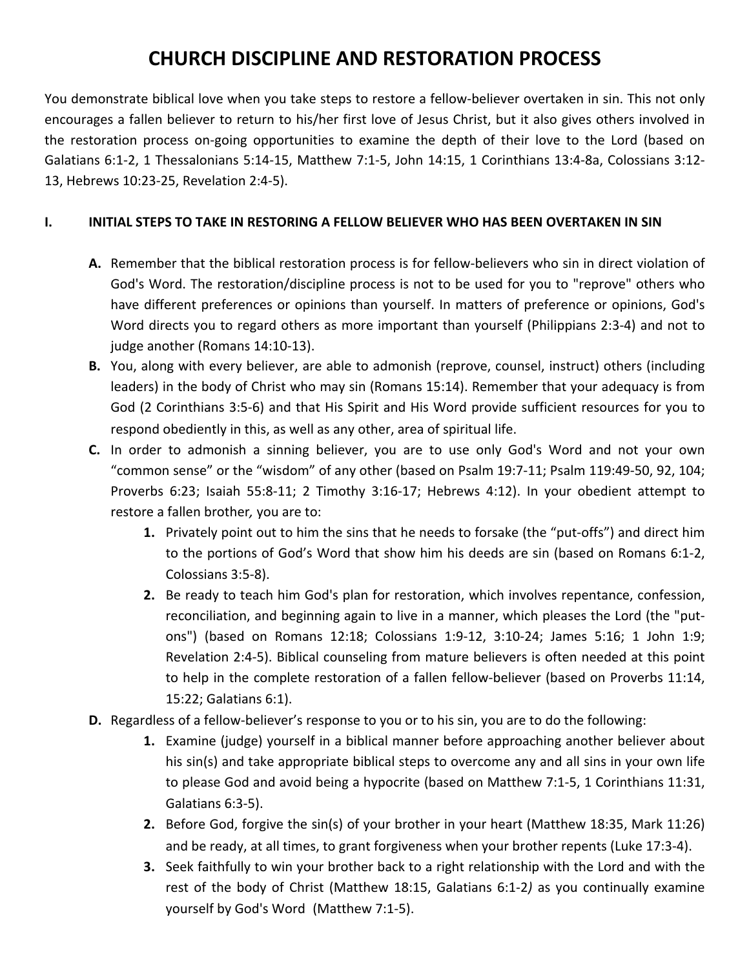## **CHURCH DISCIPLINE AND RESTORATION PROCESS**

You demonstrate biblical love when you take steps to restore a fellow-believer overtaken in sin. This not only encourages a fallen believer to return to his/her first love of Jesus Christ, but it also gives others involved in the restoration process on-going opportunities to examine the depth of their love to the Lord (based on Galatians 6:1-2, 1 Thessalonians 5:14-15, Matthew 7:1-5, John 14:15, 1 Corinthians 13:4-8a, Colossians 3:12- 13, Hebrews 10:23-25, Revelation 2:4-5).

## **I. INITIAL STEPS TO TAKE IN RESTORING A FELLOW BELIEVER WHO HAS BEEN OVERTAKEN IN SIN**

- **A.** Remember that the biblical restoration process is for fellow-believers who sin in direct violation of God's Word. The restoration/discipline process is not to be used for you to "reprove" others who have different preferences or opinions than yourself. In matters of preference or opinions, God's Word directs you to regard others as more important than yourself (Philippians 2:3-4) and not to judge another (Romans 14:10-13).
- **B.** You, along with every believer, are able to admonish (reprove, counsel, instruct) others (including leaders) in the body of Christ who may sin (Romans 15:14). Remember that your adequacy is from God (2 Corinthians 3:5-6) and that His Spirit and His Word provide sufficient resources for you to respond obediently in this, as well as any other, area of spiritual life.
- **C.** In order to admonish a sinning believer, you are to use only God's Word and not your own "common sense" or the "wisdom" of any other (based on Psalm 19:7-11; Psalm 119:49-50, 92, 104; Proverbs 6:23; Isaiah 55:8-11; 2 Timothy 3:16-17; Hebrews 4:12). In your obedient attempt to restore a fallen brother*,* you are to:
	- **1.** Privately point out to him the sins that he needs to forsake (the "put-offs") and direct him to the portions of God's Word that show him his deeds are sin (based on Romans 6:1-2, Colossians 3:5-8).
	- **2.** Be ready to teach him God's plan for restoration, which involves repentance, confession, reconciliation, and beginning again to live in a manner, which pleases the Lord (the "putons") (based on Romans 12:18; Colossians 1:9-12, 3:10-24; James 5:16; 1 John 1:9; Revelation 2:4-5). Biblical counseling from mature believers is often needed at this point to help in the complete restoration of a fallen fellow-believer (based on Proverbs 11:14, 15:22; Galatians 6:1).
- **D.** Regardless of a fellow-believer's response to you or to his sin, you are to do the following:
	- **1.** Examine (judge) yourself in a biblical manner before approaching another believer about his sin(s) and take appropriate biblical steps to overcome any and all sins in your own life to please God and avoid being a hypocrite (based on Matthew 7:1-5, 1 Corinthians 11:31, Galatians 6:3-5).
	- **2.** Before God, forgive the sin(s) of your brother in your heart (Matthew 18:35, Mark 11:26) and be ready, at all times, to grant forgiveness when your brother repents (Luke 17:3-4).
	- **3.** Seek faithfully to win your brother back to a right relationship with the Lord and with the rest of the body of Christ (Matthew 18:15, Galatians 6:1-2*)* as you continually examine yourself by God's Word (Matthew 7:1-5).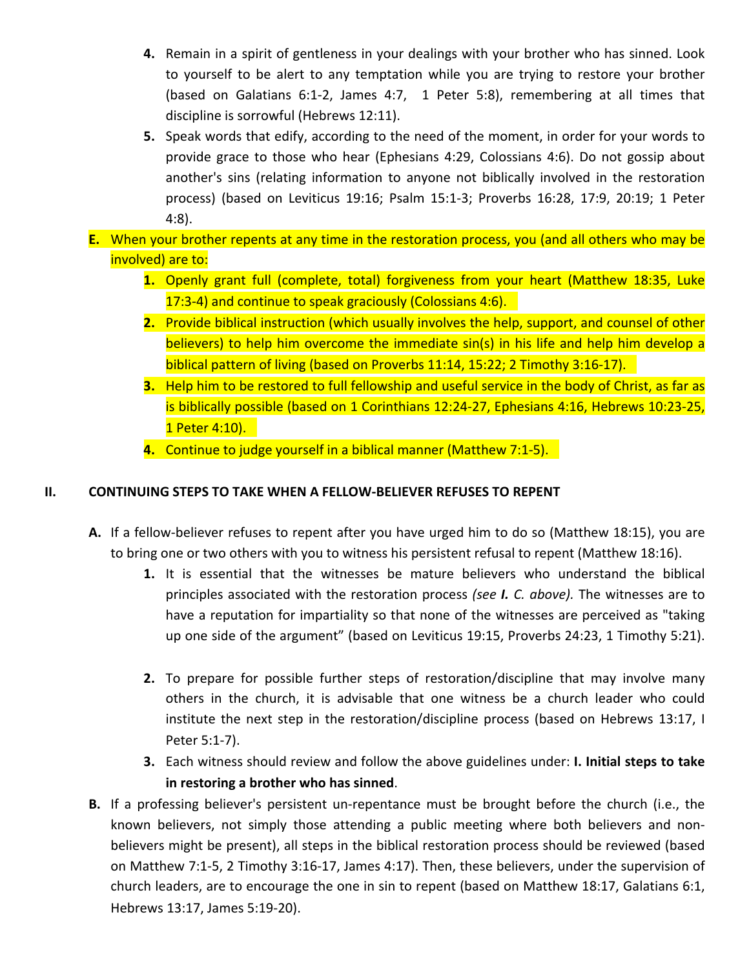- **4.** Remain in a spirit of gentleness in your dealings with your brother who has sinned. Look to yourself to be alert to any temptation while you are trying to restore your brother (based on Galatians 6:1-2, James 4:7, 1 Peter 5:8), remembering at all times that discipline is sorrowful (Hebrews 12:11).
- **5.** Speak words that edify, according to the need of the moment, in order for your words to provide grace to those who hear (Ephesians 4:29, Colossians 4:6). Do not gossip about another's sins (relating information to anyone not biblically involved in the restoration process) (based on Leviticus 19:16; Psalm 15:1-3; Proverbs 16:28, 17:9, 20:19; 1 Peter 4:8).
- **E.** When your brother repents at any time in the restoration process, you (and all others who may be involved) are to:
	- **1.** Openly grant full (complete, total) forgiveness from your heart (Matthew 18:35, Luke 17:3-4) and continue to speak graciously (Colossians 4:6).
	- **2.** Provide biblical instruction (which usually involves the help, support, and counsel of other believers) to help him overcome the immediate sin(s) in his life and help him develop a biblical pattern of living (based on Proverbs 11:14, 15:22; 2 Timothy 3:16-17).
	- **3.** Help him to be restored to full fellowship and useful service in the body of Christ, as far as is biblically possible (based on 1 Corinthians 12:24-27, Ephesians 4:16, Hebrews 10:23-25, 1 Peter 4:10).
	- **4.** Continue to judge yourself in a biblical manner (Matthew 7:1-5).

## **II. CONTINUING STEPS TO TAKE WHEN A FELLOW-BELIEVER REFUSES TO REPENT**

- **A.** If a fellow-believer refuses to repent after you have urged him to do so (Matthew 18:15), you are to bring one or two others with you to witness his persistent refusal to repent (Matthew 18:16).
	- **1.** It is essential that the witnesses be mature believers who understand the biblical principles associated with the restoration process *(see I. C. above).* The witnesses are to have a reputation for impartiality so that none of the witnesses are perceived as "taking up one side of the argument" (based on Leviticus 19:15, Proverbs 24:23, 1 Timothy 5:21).
	- **2.** To prepare for possible further steps of restoration/discipline that may involve many others in the church, it is advisable that one witness be a church leader who could institute the next step in the restoration/discipline process (based on Hebrews 13:17, I Peter 5:1-7).
	- **3.** Each witness should review and follow the above guidelines under: **I. Initial steps to take in restoring a brother who has sinned**.
- **B.** If a professing believer's persistent un-repentance must be brought before the church (i.e., the known believers, not simply those attending a public meeting where both believers and nonbelievers might be present), all steps in the biblical restoration process should be reviewed (based on Matthew 7:1-5, 2 Timothy 3:16-17, James 4:17). Then, these believers, under the supervision of church leaders, are to encourage the one in sin to repent (based on Matthew 18:17, Galatians 6:1, Hebrews 13:17, James 5:19-20).